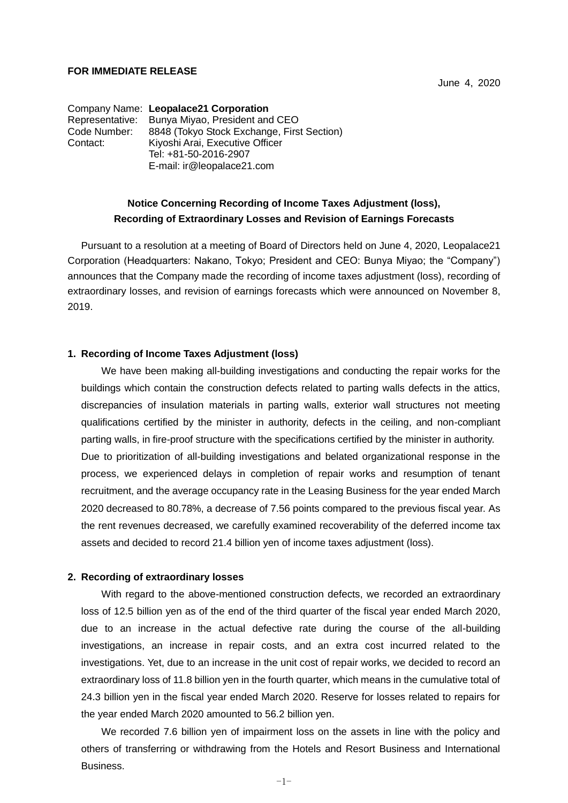#### **FOR IMMEDIATE RELEASE**

June 4, 2020

Company Name: **Leopalace21 Corporation** Representative: Bunya Miyao, President and CEO Code Number: 8848 (Tokyo Stock Exchange, First Section) Contact: Kiyoshi Arai, Executive Officer Tel: +81-50-2016-2907 E-mail: ir@leopalace21.com

# **Notice Concerning Recording of Income Taxes Adjustment (loss), Recording of Extraordinary Losses and Revision of Earnings Forecasts**

Pursuant to a resolution at a meeting of Board of Directors held on June 4, 2020, Leopalace21 Corporation (Headquarters: Nakano, Tokyo; President and CEO: Bunya Miyao; the "Company") announces that the Company made the recording of income taxes adjustment (loss), recording of extraordinary losses, and revision of earnings forecasts which were announced on November 8, 2019.

#### **1. Recording of Income Taxes Adjustment (loss)**

We have been making all-building investigations and conducting the repair works for the buildings which contain the construction defects related to parting walls defects in the attics, discrepancies of insulation materials in parting walls, exterior wall structures not meeting qualifications certified by the minister in authority, defects in the ceiling, and non-compliant parting walls, in fire-proof structure with the specifications certified by the minister in authority. Due to prioritization of all-building investigations and belated organizational response in the process, we experienced delays in completion of repair works and resumption of tenant recruitment, and the average occupancy rate in the Leasing Business for the year ended March 2020 decreased to 80.78%, a decrease of 7.56 points compared to the previous fiscal year. As the rent revenues decreased, we carefully examined recoverability of the deferred income tax assets and decided to record 21.4 billion yen of income taxes adjustment (loss).

#### **2. Recording of extraordinary losses**

With regard to the above-mentioned construction defects, we recorded an extraordinary loss of 12.5 billion yen as of the end of the third quarter of the fiscal year ended March 2020, due to an increase in the actual defective rate during the course of the all-building investigations, an increase in repair costs, and an extra cost incurred related to the investigations. Yet, due to an increase in the unit cost of repair works, we decided to record an extraordinary loss of 11.8 billion yen in the fourth quarter, which means in the cumulative total of 24.3 billion yen in the fiscal year ended March 2020. Reserve for losses related to repairs for the year ended March 2020 amounted to 56.2 billion yen.

We recorded 7.6 billion yen of impairment loss on the assets in line with the policy and others of transferring or withdrawing from the Hotels and Resort Business and International Business.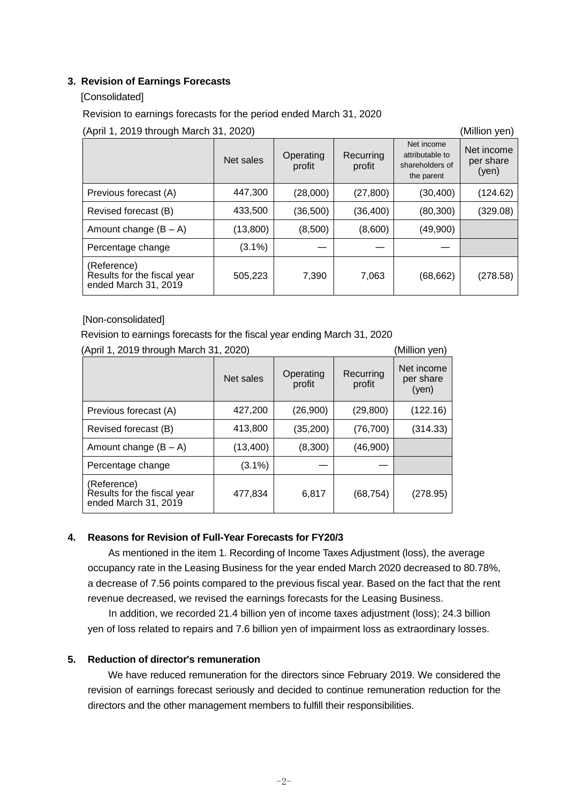## **3. Revision of Earnings Forecasts**

## [Consolidated]

Revision to earnings forecasts for the period ended March 31, 2020

(April 1, 2019 through March 31, 2020) (Million yen)

Net sales **Operating** profit **Recurring** profit Net income attributable to shareholders of the parent  $(30, 400)$ Net income per share (yen) Previous forecast (A) 447,300 (28,000) (27,800) (30,400) (124.62) Revised forecast (B) 433,500 (36,500) (36,400) (80,300) (329.08) Amount change  $(B - A)$  (13,800) (8,500) (8,600) (49,900) Percentage change  $(3.1\%)$ (Reference) Results for the fiscal year ended March 31, 2019 505,223 7,390 7,063 (68,662) (278.58)

## [Non-consolidated]

Revision to earnings forecasts for the fiscal year ending March 31, 2020

| (April 1, 2019 through March 31, 2020)                             |           |                     | (Million yen)       |                                  |
|--------------------------------------------------------------------|-----------|---------------------|---------------------|----------------------------------|
|                                                                    | Net sales | Operating<br>profit | Recurring<br>profit | Net income<br>per share<br>(yen) |
| Previous forecast (A)                                              | 427,200   | (26,900)            | (29, 800)           | (122.16)                         |
| Revised forecast (B)                                               | 413,800   | (35, 200)           | (76, 700)           | (314.33)                         |
| Amount change $(B - A)$                                            | (13, 400) | (8,300)             | (46,900)            |                                  |
| Percentage change                                                  | $(3.1\%)$ |                     |                     |                                  |
| (Reference)<br>Results for the fiscal year<br>ended March 31, 2019 | 477,834   | 6,817               | (68, 754)           | (278.95)                         |

# **4. Reasons for Revision of Full-Year Forecasts for FY20/3**

As mentioned in the item 1. Recording of Income Taxes Adjustment (loss), the average occupancy rate in the Leasing Business for the year ended March 2020 decreased to 80.78%, a decrease of 7.56 points compared to the previous fiscal year. Based on the fact that the rent revenue decreased, we revised the earnings forecasts for the Leasing Business.

In addition, we recorded 21.4 billion yen of income taxes adjustment (loss); 24.3 billion yen of loss related to repairs and 7.6 billion yen of impairment loss as extraordinary losses.

## **5. Reduction of director's remuneration**

We have reduced remuneration for the directors since February 2019. We considered the revision of earnings forecast seriously and decided to continue remuneration reduction for the directors and the other management members to fulfill their responsibilities.